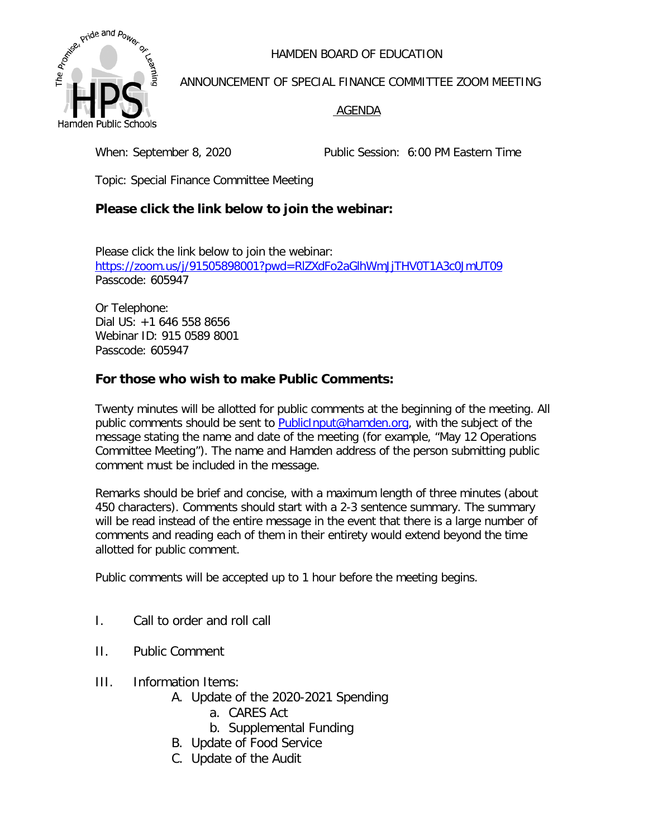HAMDEN BOARD OF EDUCATION



ANNOUNCEMENT OF SPECIAL FINANCE COMMITTEE ZOOM MEETING

## AGENDA

When: September 8, 2020 Public Session: 6:00 PM Eastern Time

Topic: Special Finance Committee Meeting

## **Please click the link below to join the webinar:**

Please click the link below to join the webinar: <https://zoom.us/j/91505898001?pwd=RlZXdFo2aGlhWmJjTHV0T1A3c0JmUT09> Passcode: 605947

Or Telephone: Dial US: +1 646 558 8656 Webinar ID: 915 0589 8001 Passcode: 605947

## **For those who wish to make Public Comments:**

Twenty minutes will be allotted for public comments at the beginning of the meeting. All public comments should be sent to [PublicInput@hamden.org,](mailto:PublicInput@hamden.org) with the subject of the message stating the name and date of the meeting (for example, "May 12 Operations Committee Meeting"). The name and Hamden address of the person submitting public comment must be included in the message.

Remarks should be brief and concise, with a maximum length of three minutes (about 450 characters). Comments should start with a 2-3 sentence summary. The summary will be read instead of the entire message in the event that there is a large number of comments and reading each of them in their entirety would extend beyond the time allotted for public comment.

Public comments will be accepted up to 1 hour before the meeting begins.

- I. Call to order and roll call
- II. Public Comment
- III. Information Items:
	- A. Update of the 2020-2021 Spending
		- a. CARES Act
		- b. Supplemental Funding
	- B. Update of Food Service
	- C. Update of the Audit